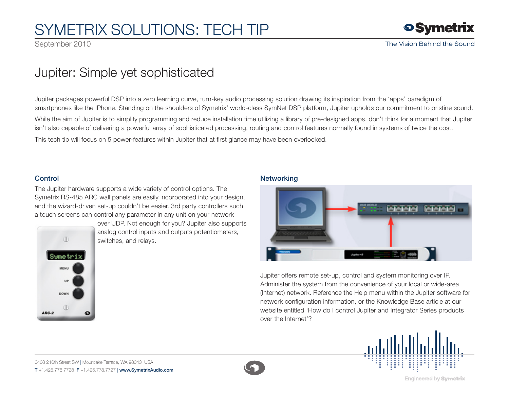# SYMETRIX SOLUTIONS: TECH TIP

September 2010

## Jupiter: Simple yet sophisticated

Jupiter packages powerful DSP into a zero learning curve, turn-key audio processing solution drawing its inspiration from the 'apps' paradigm of smartphones like the IPhone. Standing on the shoulders of Symetrix' world-class SymNet DSP platform, Jupiter upholds our commitment to pristine sound.

While the aim of Jupiter is to simplify programming and reduce installation time utilizing a library of pre-designed apps, don't think for a moment that Jupiter isn't also capable of delivering a powerful array of sophisticated processing, routing and control features normally found in systems of twice the cost.

This tech tip will focus on 5 power-features within Jupiter that at first glance may have been overlooked.

### **Control**

The Jupiter hardware supports a wide variety of control options. The Symetrix RS-485 ARC wall panels are easily incorporated into your design, and the wizard-driven set-up couldn't be easier. 3rd party controllers such a touch screens can control any parameter in any unit on your network



over UDP. Not enough for you? Jupiter also supports analog control inputs and outputs potentiometers, switches, and relays.

#### Networking



Jupiter offers remote set-up, control and system monitoring over IP. Administer the system from the convenience of your local or wide-area (Internet) network. Reference the Help menu within the Jupiter software for network configuration information, or the Knowledge Base article at our website entitled 'How do I control Jupiter and Integrator Series products over the Internet'?